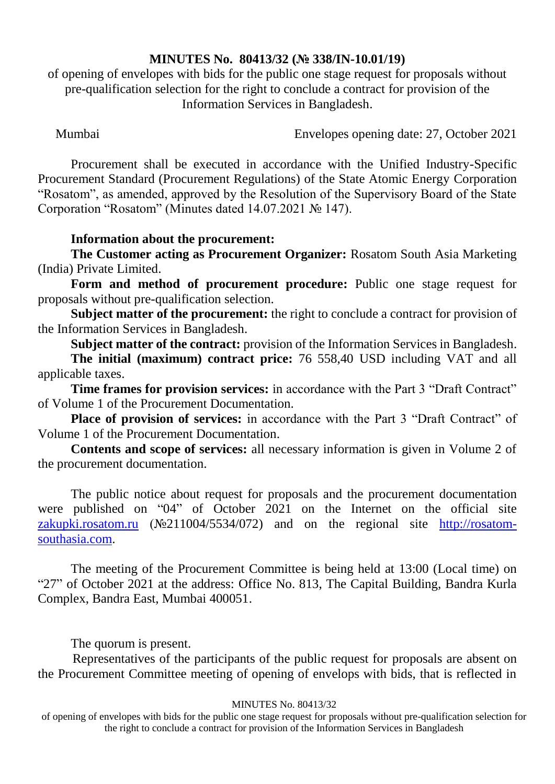## **MINUTES No. 80413/32 (№ 338/IN-10.01/19)**

of opening of envelopes with bids for the public one stage request for proposals without pre-qualification selection for the right to conclude a contract for provision of the Information Services in Bangladesh.

Mumbai Envelopes opening date: 27, October 2021

Procurement shall be executed in accordance with the Unified Industry-Specific Procurement Standard (Procurement Regulations) of the State Atomic Energy Corporation "Rosatom", as amended, approved by the Resolution of the Supervisory Board of the State Corporation "Rosatom" (Minutes dated 14.07.2021 № 147).

## **Information about the procurement:**

**The Customer acting as Procurement Organizer:** Rosatom South Asia Marketing (India) Private Limited.

**Form and method of procurement procedure:** Public one stage request for proposals without pre-qualification selection.

**Subject matter of the procurement:** the right to conclude a contract for provision of the Information Services in Bangladesh.

**Subject matter of the contract:** provision of the Information Services in Bangladesh.

**The initial (maximum) contract price:** 76 558,40 USD including VAT and all applicable taxes.

**Time frames for provision services:** in accordance with the Part 3 "Draft Contract" of Volume 1 of the Procurement Documentation.

**Place of provision of services:** in accordance with the Part 3 "Draft Contract" of Volume 1 of the Procurement Documentation.

**Contents and scope of services:** all necessary information is given in Volume 2 of the procurement documentation.

The public notice about request for proposals and the procurement documentation were published on "04" of October 2021 on the Internet on the official site [zakupki.rosatom.ru](http://zakupki.rosatom.ru/) (№211004/5534/072) and on the regional site http://rosatomsouthasia.com.

The meeting of the Procurement Committee is being held at 13:00 (Local time) on "27" of October 2021 at the address: Office No. 813, The Capital Building, Bandra Kurla Complex, Bandra East, Mumbai 400051.

The quorum is present.

Representatives of the participants of the public request for proposals are absent on the Procurement Committee meeting of opening of envelops with bids, that is reflected in

## MINUTES No. 80413/32

of opening of envelopes with bids for the public one stage request for proposals without pre-qualification selection for the right to conclude a contract for provision of the Information Services in Bangladesh